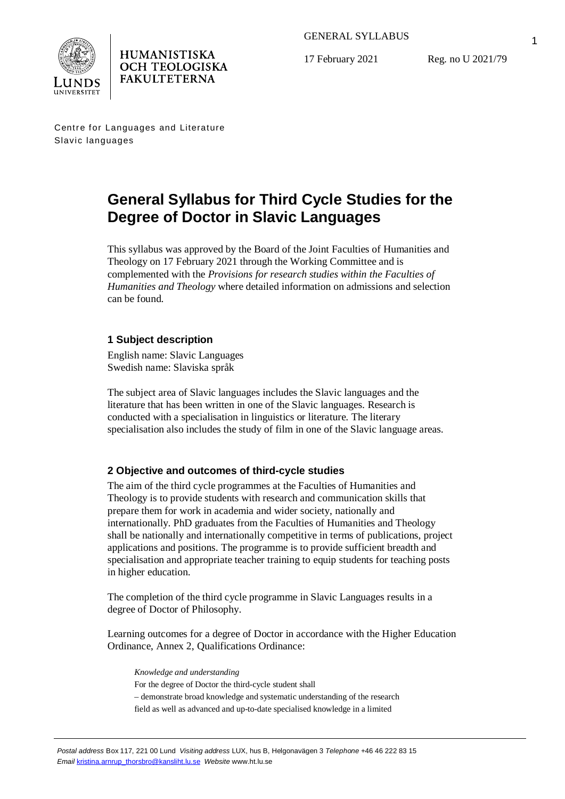

17 February 2021

Reg. no U 2021/79

Centre for Languages and Literature Slavic languages

**HUMANISTISKA OCH TEOLOGISKA FAKULTETERNA** 

# **General Syllabus for Third Cycle Studies for the Degree of Doctor in Slavic Languages**

This syllabus was approved by the Board of the Joint Faculties of Humanities and Theology on 17 February 2021 through the Working Committee and is complemented with the *Provisions for research studies within the Faculties of Humanities and Theology* where detailed information on admissions and selection can be found.

# **1 Subject description**

English name: Slavic Languages Swedish name: Slaviska språk

The subject area of Slavic languages includes the Slavic languages and the literature that has been written in one of the Slavic languages. Research is conducted with a specialisation in linguistics or literature. The literary specialisation also includes the study of film in one of the Slavic language areas.

# **2 Objective and outcomes of third-cycle studies**

The aim of the third cycle programmes at the Faculties of Humanities and Theology is to provide students with research and communication skills that prepare them for work in academia and wider society, nationally and internationally. PhD graduates from the Faculties of Humanities and Theology shall be nationally and internationally competitive in terms of publications, project applications and positions. The programme is to provide sufficient breadth and specialisation and appropriate teacher training to equip students for teaching posts in higher education.

The completion of the third cycle programme in Slavic Languages results in a degree of Doctor of Philosophy.

Learning outcomes for a degree of Doctor in accordance with the Higher Education Ordinance, Annex 2, Qualifications Ordinance:

*Knowledge and understanding* For the degree of Doctor the third-cycle student shall – demonstrate broad knowledge and systematic understanding of the research field as well as advanced and up-to-date specialised knowledge in a limited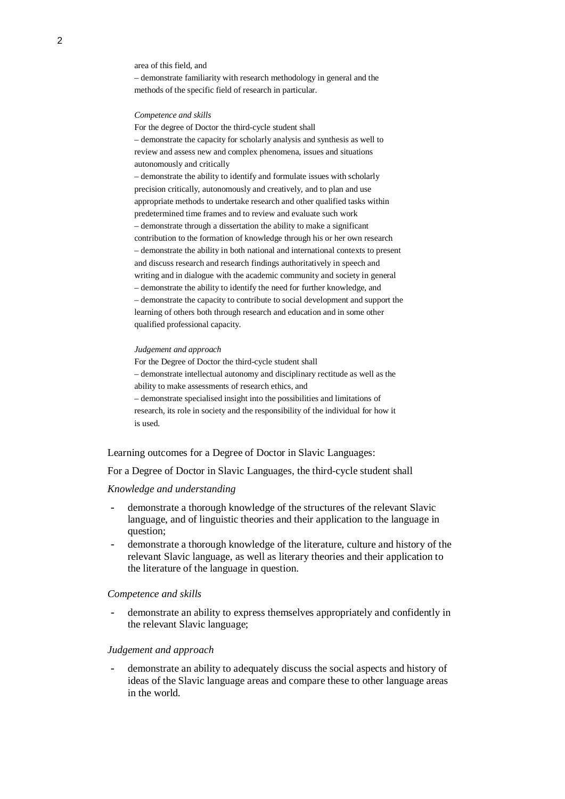area of this field, and

– demonstrate familiarity with research methodology in general and the methods of the specific field of research in particular.

*Competence and skills*

For the degree of Doctor the third-cycle student shall – demonstrate the capacity for scholarly analysis and synthesis as well to review and assess new and complex phenomena, issues and situations autonomously and critically

– demonstrate the ability to identify and formulate issues with scholarly precision critically, autonomously and creatively, and to plan and use appropriate methods to undertake research and other qualified tasks within predetermined time frames and to review and evaluate such work – demonstrate through a dissertation the ability to make a significant contribution to the formation of knowledge through his or her own research – demonstrate the ability in both national and international contexts to present and discuss research and research findings authoritatively in speech and writing and in dialogue with the academic community and society in general – demonstrate the ability to identify the need for further knowledge, and – demonstrate the capacity to contribute to social development and support the learning of others both through research and education and in some other qualified professional capacity.

#### *Judgement and approach*

For the Degree of Doctor the third-cycle student shall – demonstrate intellectual autonomy and disciplinary rectitude as well as the ability to make assessments of research ethics, and – demonstrate specialised insight into the possibilities and limitations of research, its role in society and the responsibility of the individual for how it is used.

Learning outcomes for a Degree of Doctor in Slavic Languages:

For a Degree of Doctor in Slavic Languages, the third-cycle student shall

#### *Knowledge and understanding*

- demonstrate a thorough knowledge of the structures of the relevant Slavic language, and of linguistic theories and their application to the language in question;
- demonstrate a thorough knowledge of the literature, culture and history of the relevant Slavic language, as well as literary theories and their application to the literature of the language in question.

#### *Competence and skills*

- demonstrate an ability to express themselves appropriately and confidently in the relevant Slavic language;

#### *Judgement and approach*

demonstrate an ability to adequately discuss the social aspects and history of ideas of the Slavic language areas and compare these to other language areas in the world.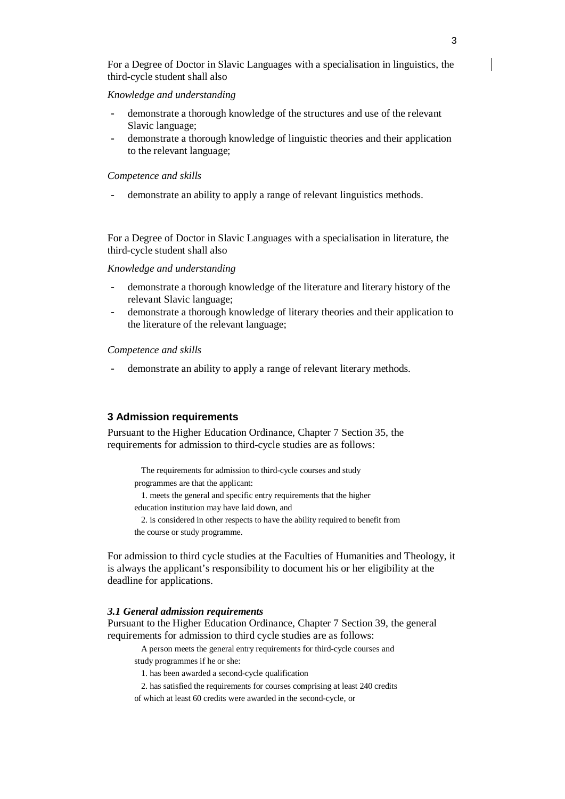For a Degree of Doctor in Slavic Languages with a specialisation in linguistics, the third-cycle student shall also

## *Knowledge and understanding*

- demonstrate a thorough knowledge of the structures and use of the relevant Slavic language;
- demonstrate a thorough knowledge of linguistic theories and their application to the relevant language;

#### *Competence and skills*

demonstrate an ability to apply a range of relevant linguistics methods.

For a Degree of Doctor in Slavic Languages with a specialisation in literature, the third-cycle student shall also

## *Knowledge and understanding*

- demonstrate a thorough knowledge of the literature and literary history of the relevant Slavic language;
- demonstrate a thorough knowledge of literary theories and their application to the literature of the relevant language;

### *Competence and skills*

demonstrate an ability to apply a range of relevant literary methods.

# **3 Admission requirements**

Pursuant to the Higher Education Ordinance, Chapter 7 Section 35, the requirements for admission to third-cycle studies are as follows:

The requirements for admission to third-cycle courses and study programmes are that the applicant:

1. meets the general and specific entry requirements that the higher education institution may have laid down, and

2. is considered in other respects to have the ability required to benefit from the course or study programme.

For admission to third cycle studies at the Faculties of Humanities and Theology, it is always the applicant's responsibility to document his or her eligibility at the deadline for applications.

## *3.1 General admission requirements*

Pursuant to the Higher Education Ordinance, Chapter 7 Section 39, the general requirements for admission to third cycle studies are as follows:

A person meets the general entry requirements for third-cycle courses and

- study programmes if he or she:
	- 1. has been awarded a second-cycle qualification
	- 2. has satisfied the requirements for courses comprising at least 240 credits
- of which at least 60 credits were awarded in the second-cycle, or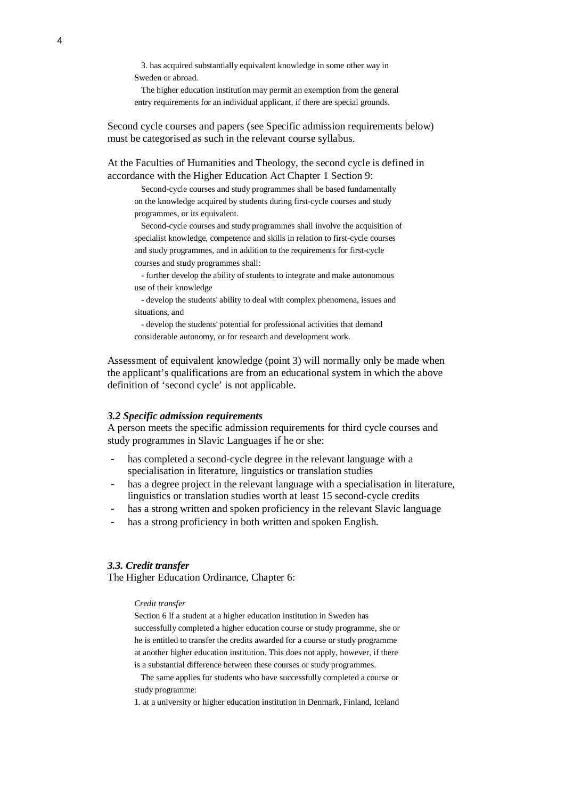3. has acquired substantially equivalent knowledge in some other way in Sweden or abroad.

The higher education institution may permit an exemption from the general entry requirements for an individual applicant, if there are special grounds.

Second cycle courses and papers (see Specific admission requirements below) must be categorised as such in the relevant course syllabus.

At the Faculties of Humanities and Theology, the second cycle is defined in accordance with the Higher Education Act Chapter 1 Section 9:

Second-cycle courses and study programmes shall be based fundamentally on the knowledge acquired by students during first-cycle courses and study programmes, or its equivalent.

Second-cycle courses and study programmes shall involve the acquisition of specialist knowledge, competence and skills in relation to first-cycle courses and study programmes, and in addition to the requirements for first-cycle courses and study programmes shall:

- further develop the ability of students to integrate and make autonomous use of their knowledge

- develop the students' ability to deal with complex phenomena, issues and situations, and

- develop the students' potential for professional activities that demand considerable autonomy, or for research and development work.

Assessment of equivalent knowledge (point 3) will normally only be made when the applicant's qualifications are from an educational system in which the above definition of 'second cycle' is not applicable.

#### *3.2 Specific admission requirements*

A person meets the specific admission requirements for third cycle courses and study programmes in Slavic Languages if he or she:

- has completed a second-cycle degree in the relevant language with a specialisation in literature, linguistics or translation studies
- has a degree project in the relevant language with a specialisation in literature, linguistics or translation studies worth at least 15 second-cycle credits
- has a strong written and spoken proficiency in the relevant Slavic language
- has a strong proficiency in both written and spoken English.

## *3.3. Credit transfer*

The Higher Education Ordinance, Chapter 6:

#### *Credit transfer*

Section 6 If a student at a higher education institution in Sweden has successfully completed a higher education course or study programme, she or he is entitled to transfer the credits awarded for a course or study programme at another higher education institution. This does not apply, however, if there is a substantial difference between these courses or study programmes.

 The same applies for students who have successfully completed a course or study programme:

1. at a university or higher education institution in Denmark, Finland, Iceland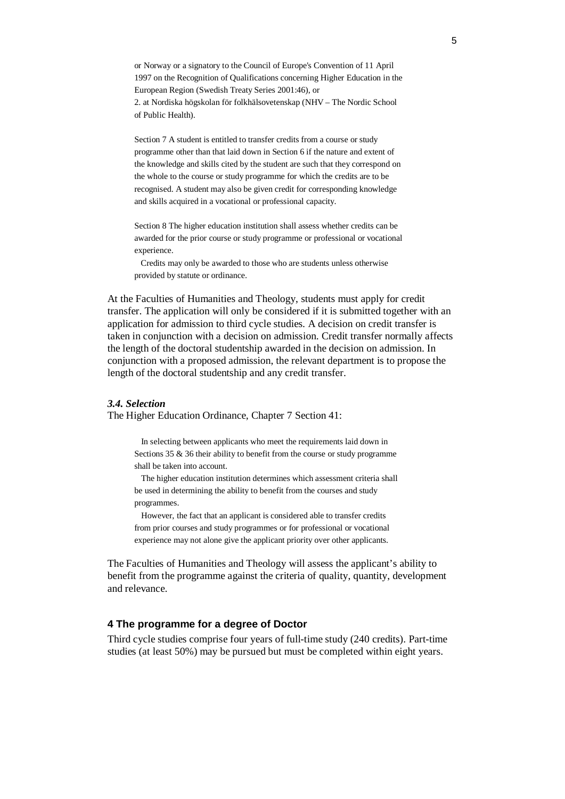or Norway or a signatory to the Council of Europe's Convention of 11 April 1997 on the Recognition of Qualifications concerning Higher Education in the European Region (Swedish Treaty Series 2001:46), or 2. at Nordiska högskolan för folkhälsovetenskap (NHV – The Nordic School of Public Health).

Section 7 A student is entitled to transfer credits from a course or study programme other than that laid down in Section 6 if the nature and extent of the knowledge and skills cited by the student are such that they correspond on the whole to the course or study programme for which the credits are to be recognised. A student may also be given credit for corresponding knowledge and skills acquired in a vocational or professional capacity.

Section 8 The higher education institution shall assess whether credits can be awarded for the prior course or study programme or professional or vocational experience.

 Credits may only be awarded to those who are students unless otherwise provided by statute or ordinance.

At the Faculties of Humanities and Theology, students must apply for credit transfer. The application will only be considered if it is submitted together with an application for admission to third cycle studies. A decision on credit transfer is taken in conjunction with a decision on admission. Credit transfer normally affects the length of the doctoral studentship awarded in the decision on admission. In conjunction with a proposed admission, the relevant department is to propose the length of the doctoral studentship and any credit transfer.

## *3.4. Selection*

The Higher Education Ordinance, Chapter 7 Section 41:

In selecting between applicants who meet the requirements laid down in Sections 35 & 36 their ability to benefit from the course or study programme shall be taken into account.

The higher education institution determines which assessment criteria shall be used in determining the ability to benefit from the courses and study programmes.

However, the fact that an applicant is considered able to transfer credits from prior courses and study programmes or for professional or vocational experience may not alone give the applicant priority over other applicants.

The Faculties of Humanities and Theology will assess the applicant's ability to benefit from the programme against the criteria of quality, quantity, development and relevance.

## **4 The programme for a degree of Doctor**

Third cycle studies comprise four years of full-time study (240 credits). Part-time studies (at least 50%) may be pursued but must be completed within eight years.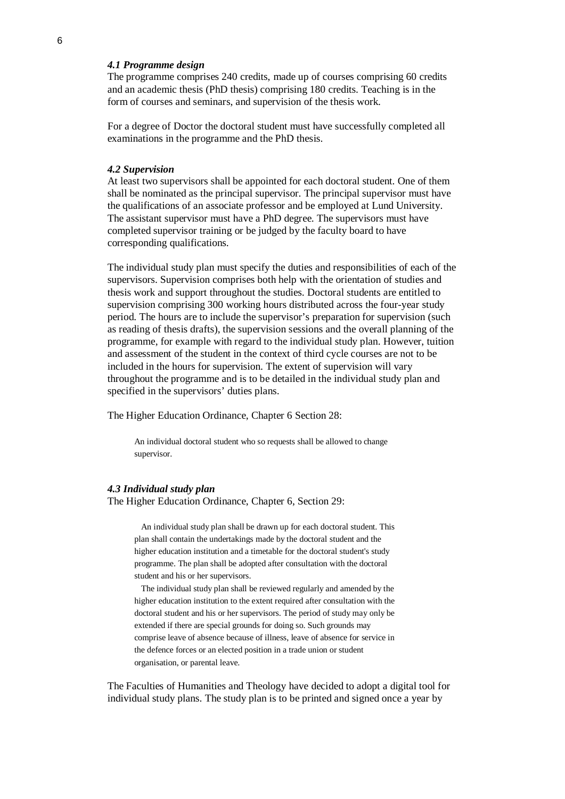## *4.1 Programme design*

The programme comprises 240 credits, made up of courses comprising 60 credits and an academic thesis (PhD thesis) comprising 180 credits. Teaching is in the form of courses and seminars, and supervision of the thesis work.

For a degree of Doctor the doctoral student must have successfully completed all examinations in the programme and the PhD thesis.

#### *4.2 Supervision*

At least two supervisors shall be appointed for each doctoral student. One of them shall be nominated as the principal supervisor. The principal supervisor must have the qualifications of an associate professor and be employed at Lund University. The assistant supervisor must have a PhD degree. The supervisors must have completed supervisor training or be judged by the faculty board to have corresponding qualifications.

The individual study plan must specify the duties and responsibilities of each of the supervisors. Supervision comprises both help with the orientation of studies and thesis work and support throughout the studies. Doctoral students are entitled to supervision comprising 300 working hours distributed across the four-year study period. The hours are to include the supervisor's preparation for supervision (such as reading of thesis drafts), the supervision sessions and the overall planning of the programme, for example with regard to the individual study plan. However, tuition and assessment of the student in the context of third cycle courses are not to be included in the hours for supervision. The extent of supervision will vary throughout the programme and is to be detailed in the individual study plan and specified in the supervisors' duties plans.

The Higher Education Ordinance, Chapter 6 Section 28:

An individual doctoral student who so requests shall be allowed to change supervisor.

#### *4.3 Individual study plan*

The Higher Education Ordinance, Chapter 6, Section 29:

An individual study plan shall be drawn up for each doctoral student. This plan shall contain the undertakings made by the doctoral student and the higher education institution and a timetable for the doctoral student's study programme. The plan shall be adopted after consultation with the doctoral student and his or her supervisors.

The individual study plan shall be reviewed regularly and amended by the higher education institution to the extent required after consultation with the doctoral student and his or her supervisors. The period of study may only be extended if there are special grounds for doing so. Such grounds may comprise leave of absence because of illness, leave of absence for service in the defence forces or an elected position in a trade union or student organisation, or parental leave.

The Faculties of Humanities and Theology have decided to adopt a digital tool for individual study plans. The study plan is to be printed and signed once a year by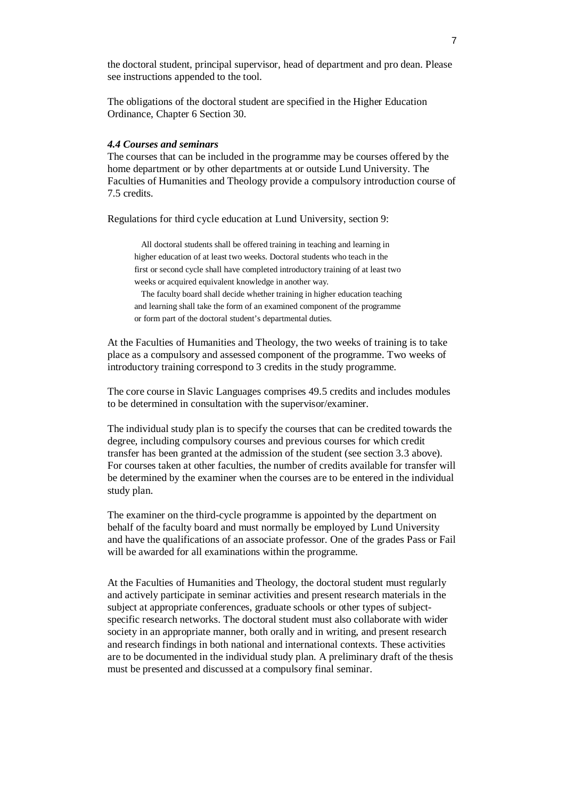the doctoral student, principal supervisor, head of department and pro dean. Please see instructions appended to the tool.

The obligations of the doctoral student are specified in the Higher Education Ordinance, Chapter 6 Section 30.

## *4.4 Courses and seminars*

The courses that can be included in the programme may be courses offered by the home department or by other departments at or outside Lund University. The Faculties of Humanities and Theology provide a compulsory introduction course of 7.5 credits.

Regulations for third cycle education at Lund University, section 9:

All doctoral students shall be offered training in teaching and learning in higher education of at least two weeks. Doctoral students who teach in the first or second cycle shall have completed introductory training of at least two weeks or acquired equivalent knowledge in another way.

The faculty board shall decide whether training in higher education teaching and learning shall take the form of an examined component of the programme or form part of the doctoral student's departmental duties.

At the Faculties of Humanities and Theology, the two weeks of training is to take place as a compulsory and assessed component of the programme. Two weeks of introductory training correspond to 3 credits in the study programme.

The core course in Slavic Languages comprises 49.5 credits and includes modules to be determined in consultation with the supervisor/examiner.

The individual study plan is to specify the courses that can be credited towards the degree, including compulsory courses and previous courses for which credit transfer has been granted at the admission of the student (see section 3.3 above). For courses taken at other faculties, the number of credits available for transfer will be determined by the examiner when the courses are to be entered in the individual study plan.

The examiner on the third-cycle programme is appointed by the department on behalf of the faculty board and must normally be employed by Lund University and have the qualifications of an associate professor. One of the grades Pass or Fail will be awarded for all examinations within the programme.

At the Faculties of Humanities and Theology, the doctoral student must regularly and actively participate in seminar activities and present research materials in the subject at appropriate conferences, graduate schools or other types of subjectspecific research networks. The doctoral student must also collaborate with wider society in an appropriate manner, both orally and in writing, and present research and research findings in both national and international contexts. These activities are to be documented in the individual study plan. A preliminary draft of the thesis must be presented and discussed at a compulsory final seminar.